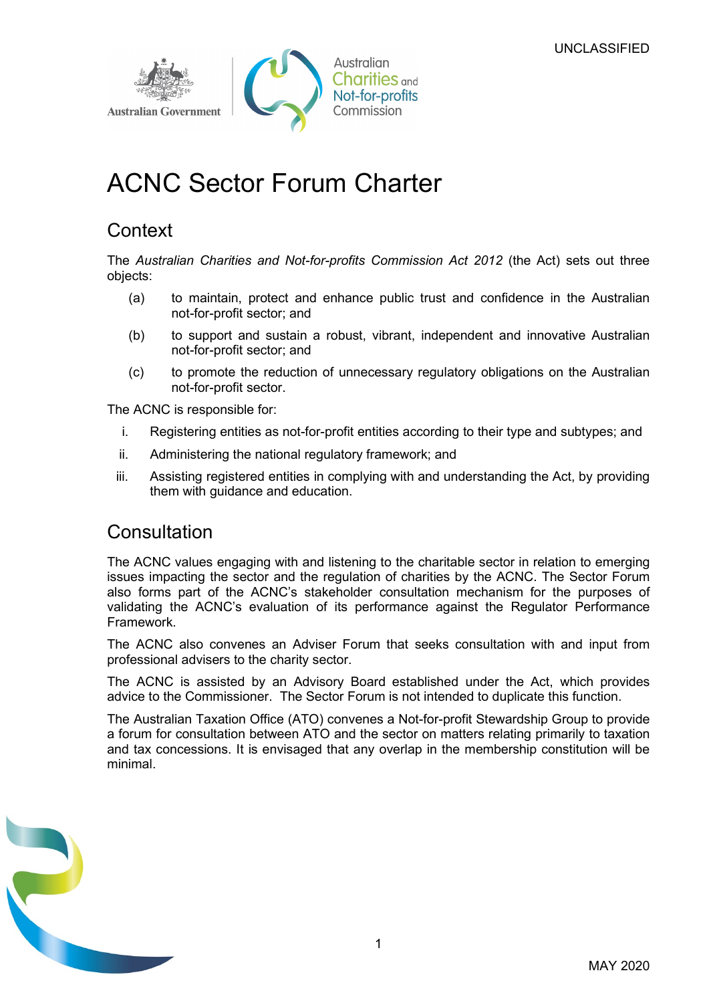

# ACNC Sector Forum Charter

# **Context**

The Australian Charities and Not-for-profits Commission Act 2012 (the Act) sets out three objects:

- (a) to maintain, protect and enhance public trust and confidence in the Australian not-for-profit sector; and
- (b) to support and sustain a robust, vibrant, independent and innovative Australian not-for-profit sector; and
- (c) to promote the reduction of unnecessary regulatory obligations on the Australian not-for-profit sector.

The ACNC is responsible for:

- i. Registering entities as not-for-profit entities according to their type and subtypes; and
- ii. Administering the national regulatory framework; and
- iii. Assisting registered entities in complying with and understanding the Act, by providing them with guidance and education.

## **Consultation**

The ACNC values engaging with and listening to the charitable sector in relation to emerging issues impacting the sector and the regulation of charities by the ACNC. The Sector Forum also forms part of the ACNC's stakeholder consultation mechanism for the purposes of validating the ACNC's evaluation of its performance against the Regulator Performance Framework.

The ACNC also convenes an Adviser Forum that seeks consultation with and input from professional advisers to the charity sector.

The ACNC is assisted by an Advisory Board established under the Act, which provides advice to the Commissioner. The Sector Forum is not intended to duplicate this function.

The Australian Taxation Office (ATO) convenes a Not-for-profit Stewardship Group to provide a forum for consultation between ATO and the sector on matters relating primarily to taxation and tax concessions. It is envisaged that any overlap in the membership constitution will be minimal.

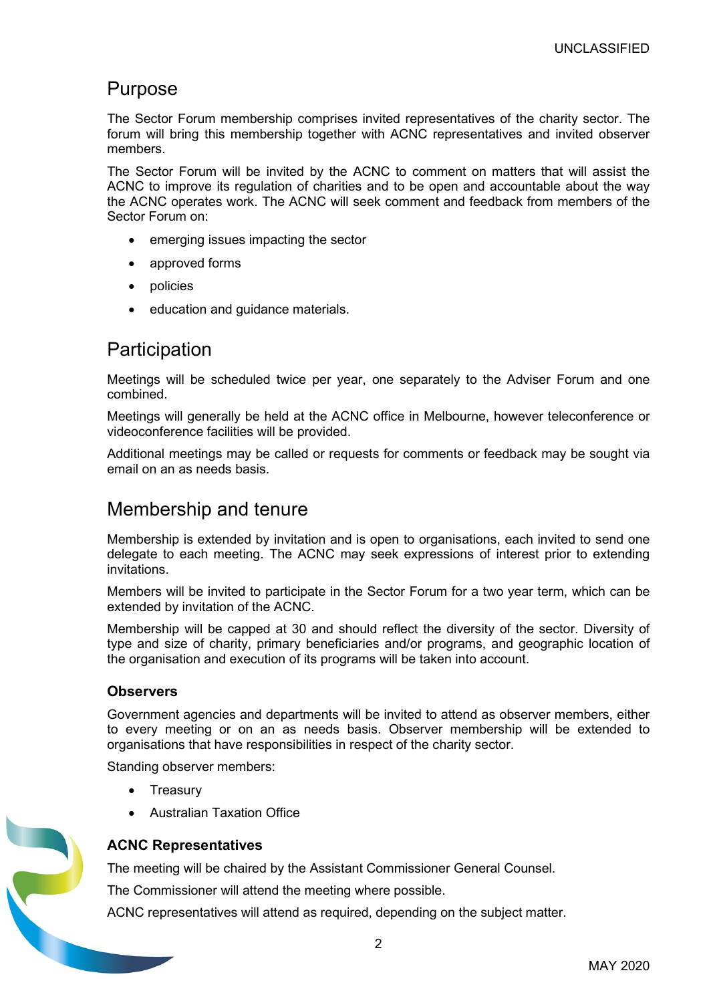### Purpose

The Sector Forum membership comprises invited representatives of the charity sector. The forum will bring this membership together with ACNC representatives and invited observer members.

The Sector Forum will be invited by the ACNC to comment on matters that will assist the ACNC to improve its regulation of charities and to be open and accountable about the way the ACNC operates work. The ACNC will seek comment and feedback from members of the Sector Forum on:

- emerging issues impacting the sector
- approved forms
- policies
- education and guidance materials.

### **Participation**

Meetings will be scheduled twice per year, one separately to the Adviser Forum and one combined.

Meetings will generally be held at the ACNC office in Melbourne, however teleconference or videoconference facilities will be provided.

Additional meetings may be called or requests for comments or feedback may be sought via email on an as needs basis.

### Membership and tenure

Membership is extended by invitation and is open to organisations, each invited to send one delegate to each meeting. The ACNC may seek expressions of interest prior to extending invitations.

Members will be invited to participate in the Sector Forum for a two year term, which can be extended by invitation of the ACNC.

Membership will be capped at 30 and should reflect the diversity of the sector. Diversity of type and size of charity, primary beneficiaries and/or programs, and geographic location of the organisation and execution of its programs will be taken into account.

#### **Observers**

Government agencies and departments will be invited to attend as observer members, either to every meeting or on an as needs basis. Observer membership will be extended to organisations that have responsibilities in respect of the charity sector.

Standing observer members:

- Treasury
- Australian Taxation Office



#### ACNC Representatives

The meeting will be chaired by the Assistant Commissioner General Counsel.

The Commissioner will attend the meeting where possible.

ACNC representatives will attend as required, depending on the subject matter.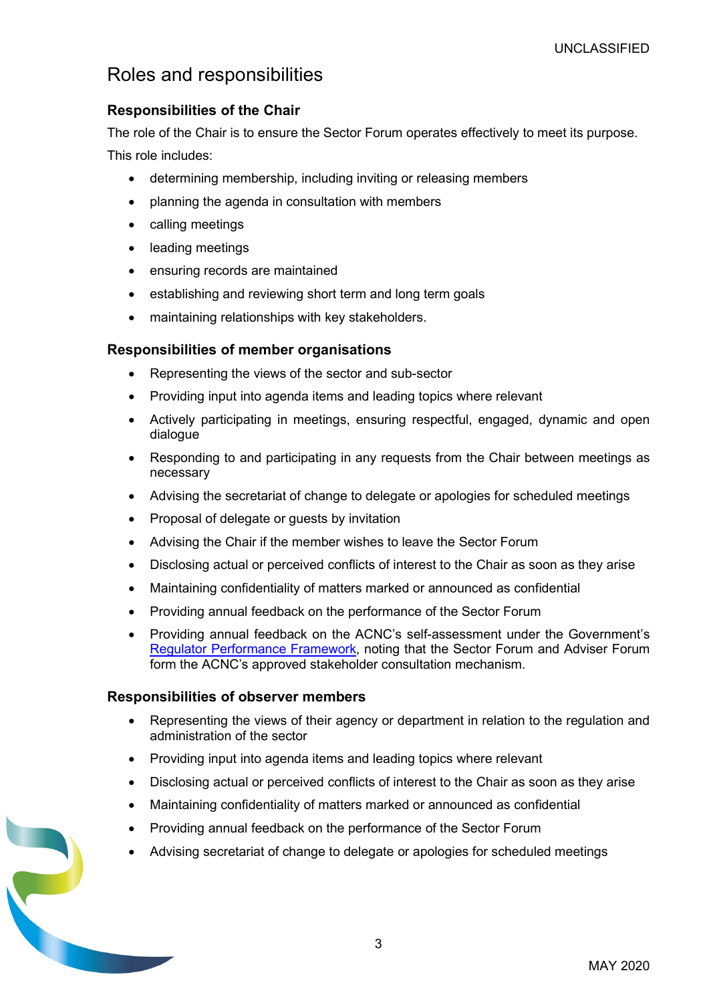## Roles and responsibilities

### Responsibilities of the Chair

The role of the Chair is to ensure the Sector Forum operates effectively to meet its purpose. This role includes:

- determining membership, including inviting or releasing members
- planning the agenda in consultation with members
- calling meetings
- leading meetings
- ensuring records are maintained
- establishing and reviewing short term and long term goals
- maintaining relationships with key stakeholders.

### Responsibilities of member organisations

- Representing the views of the sector and sub-sector
- Providing input into agenda items and leading topics where relevant
- Actively participating in meetings, ensuring respectful, engaged, dynamic and open dialogue
- Responding to and participating in any requests from the Chair between meetings as necessary
- Advising the secretariat of change to delegate or apologies for scheduled meetings
- Proposal of delegate or quests by invitation
- Advising the Chair if the member wishes to leave the Sector Forum
- Disclosing actual or perceived conflicts of interest to the Chair as soon as they arise
- Maintaining confidentiality of matters marked or announced as confidential
- Providing annual feedback on the performance of the Sector Forum
- Providing annual feedback on the ACNC's self-assessment under the Government's Regulator Performance Framework, noting that the Sector Forum and Adviser Forum form the ACNC's approved stakeholder consultation mechanism.

#### Responsibilities of observer members

- Representing the views of their agency or department in relation to the regulation and administration of the sector
- Providing input into agenda items and leading topics where relevant
- Disclosing actual or perceived conflicts of interest to the Chair as soon as they arise
- Maintaining confidentiality of matters marked or announced as confidential
- Providing annual feedback on the performance of the Sector Forum
- Advising secretariat of change to delegate or apologies for scheduled meetings